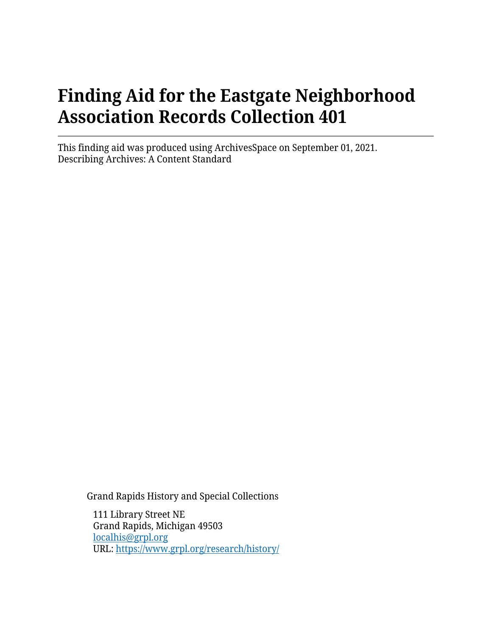# **Finding Aid for the Eastgate Neighborhood Association Records Collection 401**

This finding aid was produced using ArchivesSpace on September 01, 2021. Describing Archives: A Content Standard

Grand Rapids History and Special Collections

111 Library Street NE Grand Rapids, Michigan 49503 [localhis@grpl.org](mailto:localhis@grpl.org) URL:<https://www.grpl.org/research/history/>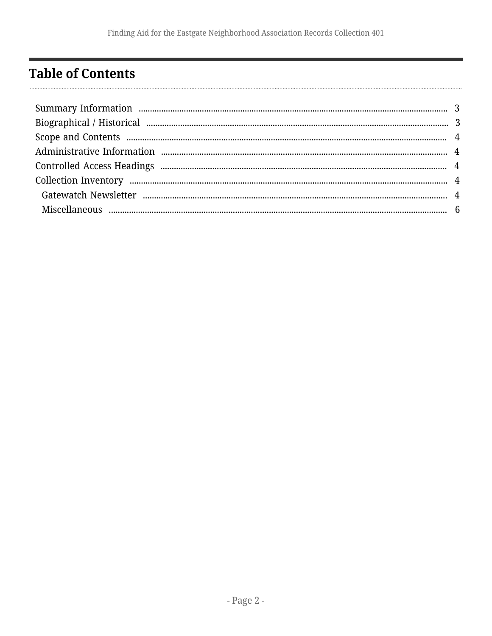## <span id="page-1-0"></span>**Table of Contents**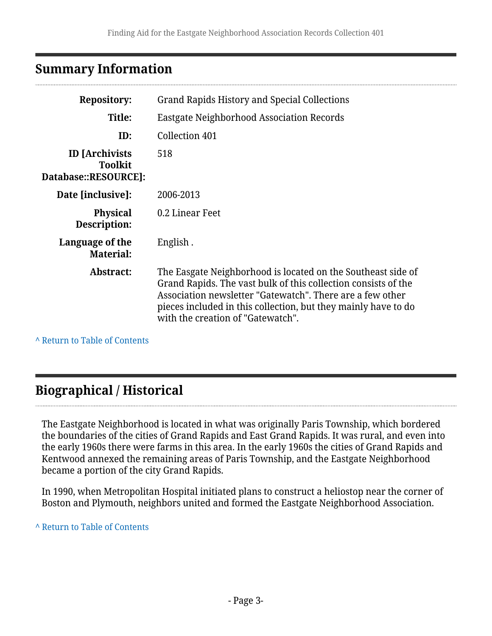### <span id="page-2-0"></span>**Summary Information**

| <b>Repository:</b>                                              | Grand Rapids History and Special Collections                                                                                                                                                                                                                                                       |  |  |
|-----------------------------------------------------------------|----------------------------------------------------------------------------------------------------------------------------------------------------------------------------------------------------------------------------------------------------------------------------------------------------|--|--|
| Title:                                                          | <b>Eastgate Neighborhood Association Records</b>                                                                                                                                                                                                                                                   |  |  |
| ID:                                                             | Collection 401                                                                                                                                                                                                                                                                                     |  |  |
| <b>ID</b> [Archivists<br><b>Toolkit</b><br>Database::RESOURCE]: | 518                                                                                                                                                                                                                                                                                                |  |  |
| Date [inclusive]:                                               | 2006-2013                                                                                                                                                                                                                                                                                          |  |  |
| <b>Physical</b><br>Description:                                 | 0.2 Linear Feet                                                                                                                                                                                                                                                                                    |  |  |
| Language of the<br><b>Material:</b>                             | English.                                                                                                                                                                                                                                                                                           |  |  |
| <b>Abstract:</b>                                                | The Easgate Neighborhood is located on the Southeast side of<br>Grand Rapids. The vast bulk of this collection consists of the<br>Association newsletter "Gatewatch". There are a few other<br>pieces included in this collection, but they mainly have to do<br>with the creation of "Gatewatch". |  |  |
|                                                                 |                                                                                                                                                                                                                                                                                                    |  |  |

**^** [Return to Table of Contents](#page-1-0)

### <span id="page-2-1"></span>**Biographical / Historical**

The Eastgate Neighborhood is located in what was originally Paris Township, which bordered the boundaries of the cities of Grand Rapids and East Grand Rapids. It was rural, and even into the early 1960s there were farms in this area. In the early 1960s the cities of Grand Rapids and Kentwood annexed the remaining areas of Paris Township, and the Eastgate Neighborhood became a portion of the city Grand Rapids.

In 1990, when Metropolitan Hospital initiated plans to construct a heliostop near the corner of Boston and Plymouth, neighbors united and formed the Eastgate Neighborhood Association.

**^** [Return to Table of Contents](#page-1-0)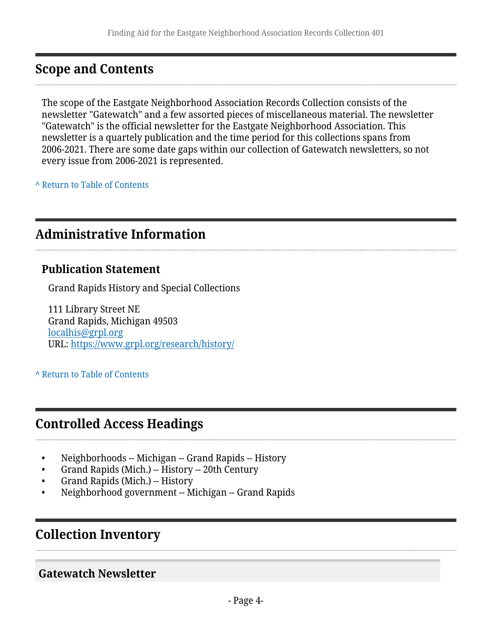#### <span id="page-3-0"></span>**Scope and Contents**

The scope of the Eastgate Neighborhood Association Records Collection consists of the newsletter "Gatewatch" and a few assorted pieces of miscellaneous material. The newsletter "Gatewatch" is the official newsletter for the Eastgate Neighborhood Association. This newsletter is a quartely publication and the time period for this collections spans from 2006-2021. There are some date gaps within our collection of Gatewatch newsletters, so not every issue from 2006-2021 is represented.

**^** [Return to Table of Contents](#page-1-0)

#### <span id="page-3-1"></span>**Administrative Information**

#### **Publication Statement**

Grand Rapids History and Special Collections

111 Library Street NE Grand Rapids, Michigan 49503 [localhis@grpl.org](mailto:localhis@grpl.org) URL:<https://www.grpl.org/research/history/>

**^** [Return to Table of Contents](#page-1-0)

#### <span id="page-3-2"></span>**Controlled Access Headings**

- Neighborhoods -- Michigan -- Grand Rapids -- History
- Grand Rapids (Mich.) -- History -- 20th Century
- Grand Rapids (Mich.) -- History
- Neighborhood government -- Michigan -- Grand Rapids

#### <span id="page-3-3"></span>**Collection Inventory**

<span id="page-3-4"></span>**Gatewatch Newsletter**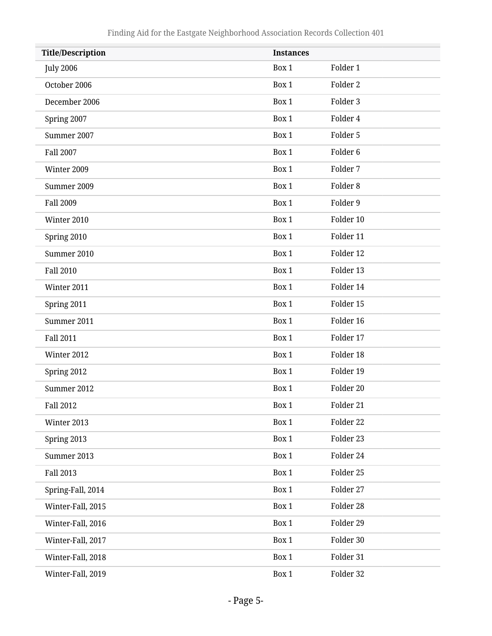| <b>Title/Description</b> | <b>Instances</b> |                     |  |
|--------------------------|------------------|---------------------|--|
| <b>July 2006</b>         | Box 1            | Folder 1            |  |
| October 2006             | Box 1            | Folder <sub>2</sub> |  |
| December 2006            | Box 1            | Folder 3            |  |
| Spring 2007              | Box 1            | Folder 4            |  |
| Summer 2007              | Box 1            | Folder 5            |  |
| <b>Fall 2007</b>         | Box 1            | Folder <sub>6</sub> |  |
| Winter 2009              | Box 1            | Folder 7            |  |
| Summer 2009              | Box 1            | Folder <sub>8</sub> |  |
| <b>Fall 2009</b>         | Box 1            | Folder 9            |  |
| Winter 2010              | Box 1            | Folder 10           |  |
| Spring 2010              | Box 1            | Folder 11           |  |
| Summer 2010              | Box 1            | Folder 12           |  |
| <b>Fall 2010</b>         | Box 1            | Folder 13           |  |
| Winter 2011              | Box 1            | Folder 14           |  |
| Spring 2011              | Box 1            | Folder 15           |  |
| Summer 2011              | Box 1            | Folder 16           |  |
| <b>Fall 2011</b>         | Box 1            | Folder 17           |  |
| Winter 2012              | Box 1            | Folder 18           |  |
| Spring 2012              | Box 1            | Folder 19           |  |
| Summer 2012              | Box 1            | Folder 20           |  |
| <b>Fall 2012</b>         | Box 1            | Folder 21           |  |
| Winter 2013              | Box 1            | Folder 22           |  |
| Spring 2013              | Box 1            | Folder 23           |  |
| Summer 2013              | Box 1            | Folder 24           |  |
| <b>Fall 2013</b>         | Box 1            | Folder 25           |  |
| Spring-Fall, 2014        | Box 1            | Folder 27           |  |
| Winter-Fall, 2015        | Box 1            | Folder 28           |  |
| Winter-Fall, 2016        | Box 1            | Folder 29           |  |
| Winter-Fall, 2017        | Box 1            | Folder 30           |  |
| Winter-Fall, 2018        | Box 1            | Folder 31           |  |
| Winter-Fall, 2019        | Box 1            | Folder 32           |  |